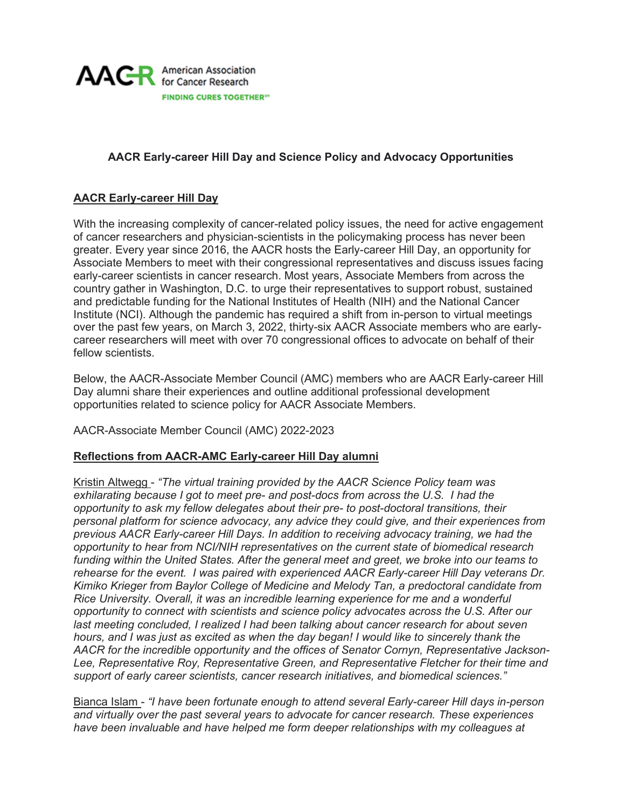

# **AACR Early-career Hill Day and Science Policy and Advocacy Opportunities**

# **AACR Early-career Hill Day**

With the increasing complexity of cancer-related policy issues, the need for active engagement of cancer researchers and physician-scientists in the policymaking process has never been greater. Every year since 2016, the AACR hosts the Early-career Hill Day, an opportunity for Associate Members to meet with their congressional representatives and discuss issues facing early-career scientists in cancer research. Most years, Associate Members from across the country gather in Washington, D.C. to urge their representatives to support robust, sustained and predictable funding for the National Institutes of Health (NIH) and the National Cancer Institute (NCI). Although the pandemic has required a shift from in-person to virtual meetings over the past few years, on March 3, 2022, thirty-six AACR Associate members who are earlycareer researchers will meet with over 70 congressional offices to advocate on behalf of their fellow scientists.

Below, the AACR-Associate Member Council (AMC) members who are AACR Early-career Hill Day alumni share their experiences and outline additional professional development opportunities related to science policy for AACR Associate Members.

AACR-Associate Member Council (AMC) 2022-2023

## **Reflections from AACR-AMC Early-career Hill Day alumni**

Kristin Altwegg - *"The virtual training provided by the AACR Science Policy team was exhilarating because I got to meet pre- and post-docs from across the U.S. I had the opportunity to ask my fellow delegates about their pre- to post-doctoral transitions, their personal platform for science advocacy, any advice they could give, and their experiences from previous AACR Early-career Hill Days. In addition to receiving advocacy training, we had the opportunity to hear from NCI/NIH representatives on the current state of biomedical research funding within the United States. After the general meet and greet, we broke into our teams to rehearse for the event. I was paired with experienced AACR Early-career Hill Day veterans Dr. Kimiko Krieger from Baylor College of Medicine and Melody Tan, a predoctoral candidate from Rice University. Overall, it was an incredible learning experience for me and a wonderful opportunity to connect with scientists and science policy advocates across the U.S. After our last meeting concluded, I realized I had been talking about cancer research for about seven hours, and I was just as excited as when the day began! I would like to sincerely thank the AACR for the incredible opportunity and the offices of Senator Cornyn, Representative Jackson-Lee, Representative Roy, Representative Green, and Representative Fletcher for their time and support of early career scientists, cancer research initiatives, and biomedical sciences."*

Bianca Islam - *"I have been fortunate enough to attend several Early-career Hill days in-person and virtually over the past several years to advocate for cancer research. These experiences have been invaluable and have helped me form deeper relationships with my colleagues at*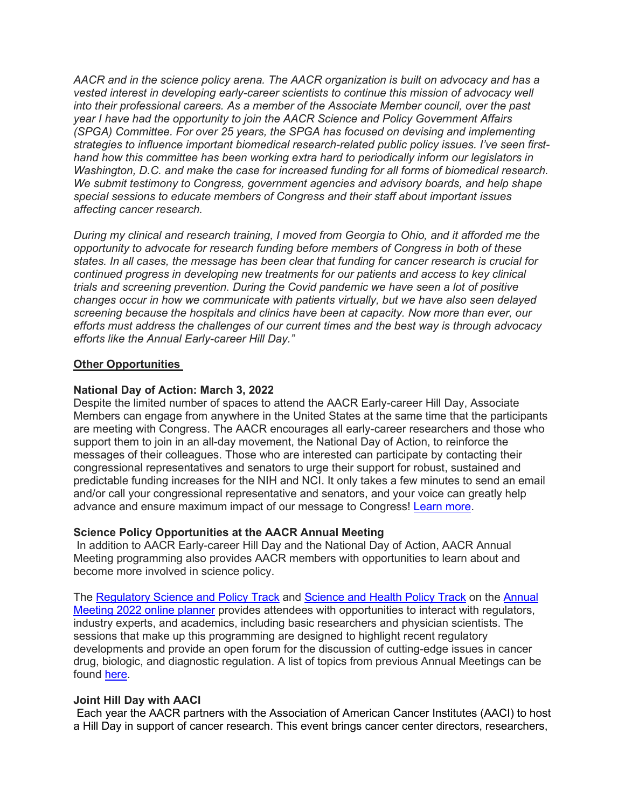*AACR and in the science policy arena. The AACR organization is built on advocacy and has a vested interest in developing early-career scientists to continue this mission of advocacy well into their professional careers. As a member of the Associate Member council, over the past year I have had the opportunity to join the AACR Science and Policy Government Affairs (SPGA) Committee. For over 25 years, the SPGA has focused on devising and implementing strategies to influence important biomedical research-related public policy issues. I've seen firsthand how this committee has been working extra hard to periodically inform our legislators in Washington, D.C. and make the case for increased funding for all forms of biomedical research. We submit testimony to Congress, government agencies and advisory boards, and help shape special sessions to educate members of Congress and their staff about important issues affecting cancer research.*

*During my clinical and research training, I moved from Georgia to Ohio, and it afforded me the opportunity to advocate for research funding before members of Congress in both of these states. In all cases, the message has been clear that funding for cancer research is crucial for continued progress in developing new treatments for our patients and access to key clinical trials and screening prevention. During the Covid pandemic we have seen a lot of positive changes occur in how we communicate with patients virtually, but we have also seen delayed screening because the hospitals and clinics have been at capacity. Now more than ever, our efforts must address the challenges of our current times and the best way is through advocacy efforts like the Annual Early-career Hill Day."*

### **Other Opportunities**

### **National Day of Action: March 3, 2022**

Despite the limited number of spaces to attend the AACR Early-career Hill Day, Associate Members can engage from anywhere in the United States at the same time that the participants are meeting with Congress. The AACR encourages all early-career researchers and those who support them to join in an all-day movement, the National Day of Action, to reinforce the messages of their colleagues. Those who are interested can participate by contacting their congressional representatives and senators to urge their support for robust, sustained and predictable funding increases for the NIH and NCI. It only takes a few minutes to send an email and/or call your congressional representative and senators, and your voice can greatly help advance and ensure maximum impact of our message to Congress! [Learn more.](https://www.aacr.org/professionals/policy-and-advocacy/aacr-legislative-action-center/)

## **Science Policy Opportunities at the AACR Annual Meeting**

In addition to AACR Early-career Hill Day and the National Day of Action, AACR Annual Meeting programming also provides AACR members with opportunities to learn about and become more involved in science policy.

The [Regulatory Science and Policy Track](https://www.aacr.org/professionals/policy-and-advocacy/regulatory-science-and-policy/regulatory-science-and-policy-track/) and [Science and Health Policy Track](https://www.abstractsonline.com/pp8/#!/10517/sessions/@AACRTrackAll=Science%20and%20Health%20Policy/1) on the [Annual](https://www.abstractsonline.com/pp8/#!/10517)  [Meeting 2022 online planner](https://www.abstractsonline.com/pp8/#!/10517) provides attendees with opportunities to interact with regulators, industry experts, and academics, including basic researchers and physician scientists. The sessions that make up this programming are designed to highlight recent regulatory developments and provide an open forum for the discussion of cutting-edge issues in cancer drug, biologic, and diagnostic regulation. A list of topics from previous Annual Meetings can be found [here.](https://www.aacr.org/professionals/policy-and-advocacy/regulatory-science-and-policy/regulatory-science-and-policy-track/)

#### **Joint Hill Day with AACI**

Each year the AACR partners with the Association of American Cancer Institutes (AACI) to host a Hill Day in support of cancer research. This event brings cancer center directors, researchers,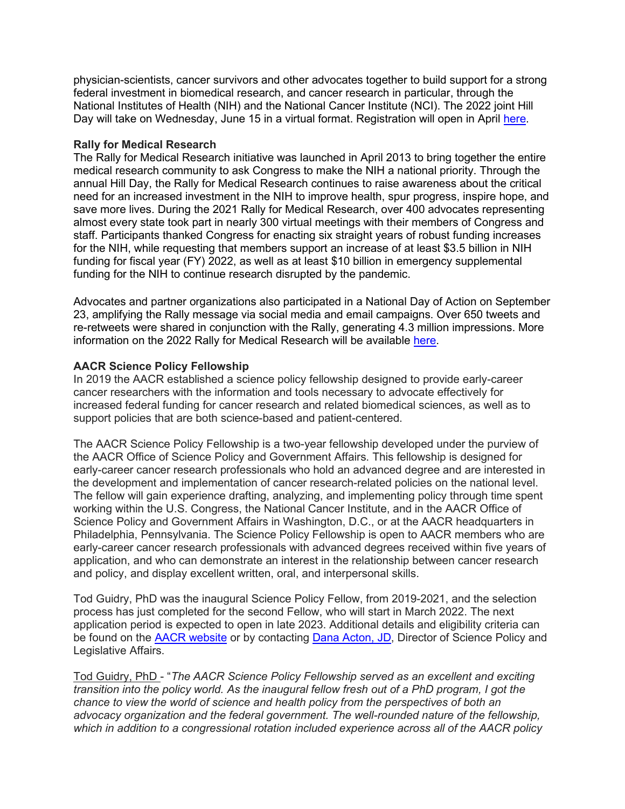physician-scientists, cancer survivors and other advocates together to build support for a strong federal investment in biomedical research, and cancer research in particular, through the National Institutes of Health (NIH) and the National Cancer Institute (NCI). The 2022 joint Hill Day will take on Wednesday, June 15 in a virtual format. Registration will open in April [here.](https://www.aaci-cancer.org/hill-day#:%7E:text=The%202022%20AACI%2FAACR%20Virtual,held%20on%20Wednesday%2C%20June%2015.)

### **Rally for Medical Research**

The Rally for Medical Research initiative was launched in April 2013 to bring together the entire medical research community to ask Congress to make the NIH a national priority. Through the annual Hill Day, the Rally for Medical Research continues to raise awareness about the critical need for an increased investment in the NIH to improve health, spur progress, inspire hope, and save more lives. During the 2021 Rally for Medical Research, over 400 advocates representing almost every state took part in nearly 300 virtual meetings with their members of Congress and staff. Participants thanked Congress for enacting six straight years of robust funding increases for the NIH, while requesting that members support an increase of at least \$3.5 billion in NIH funding for fiscal year (FY) 2022, as well as at least \$10 billion in emergency supplemental funding for the NIH to continue research disrupted by the pandemic.

Advocates and partner organizations also participated in a National Day of Action on September 23, amplifying the Rally message via social media and email campaigns. Over 650 tweets and re-retweets were shared in conjunction with the Rally, generating 4.3 million impressions. More information on the 2022 Rally for Medical Research will be available [here.](https://rallyformedicalresearch.org/)

### **AACR Science Policy Fellowship**

In 2019 the AACR established a science policy fellowship designed to provide early-career cancer researchers with the information and tools necessary to advocate effectively for increased federal funding for cancer research and related biomedical sciences, as well as to support policies that are both science-based and patient-centered.

The AACR Science Policy Fellowship is a two-year fellowship developed under the purview of the AACR Office of Science Policy and Government Affairs. This fellowship is designed for early-career cancer research professionals who hold an advanced degree and are interested in the development and implementation of cancer research-related policies on the national level. The fellow will gain experience drafting, analyzing, and implementing policy through time spent working within the U.S. Congress, the National Cancer Institute, and in the AACR Office of Science Policy and Government Affairs in Washington, D.C., or at the AACR headquarters in Philadelphia, Pennsylvania. The Science Policy Fellowship is open to AACR members who are early-career cancer research professionals with advanced degrees received within five years of application, and who can demonstrate an interest in the relationship between cancer research and policy, and display excellent written, oral, and interpersonal skills.

Tod Guidry, PhD was the inaugural Science Policy Fellow, from 2019-2021, and the selection process has just completed for the second Fellow, who will start in March 2022. The next application period is expected to open in late 2023. Additional details and eligibility criteria can be found on the [AACR website](https://www.aacr.org/professionals/policy-and-advocacy/aacr-science-policy-fellowship/)) or by contacting [Dana Acton, JD,](mailto:scipolfellow@aacr.org) Director of Science Policy and Legislative Affairs.

Tod Guidry, PhD - "*The AACR Science Policy Fellowship served as an excellent and exciting transition into the policy world. As the inaugural fellow fresh out of a PhD program, I got the chance to view the world of science and health policy from the perspectives of both an advocacy organization and the federal government. The well-rounded nature of the fellowship, which in addition to a congressional rotation included experience across all of the AACR policy*